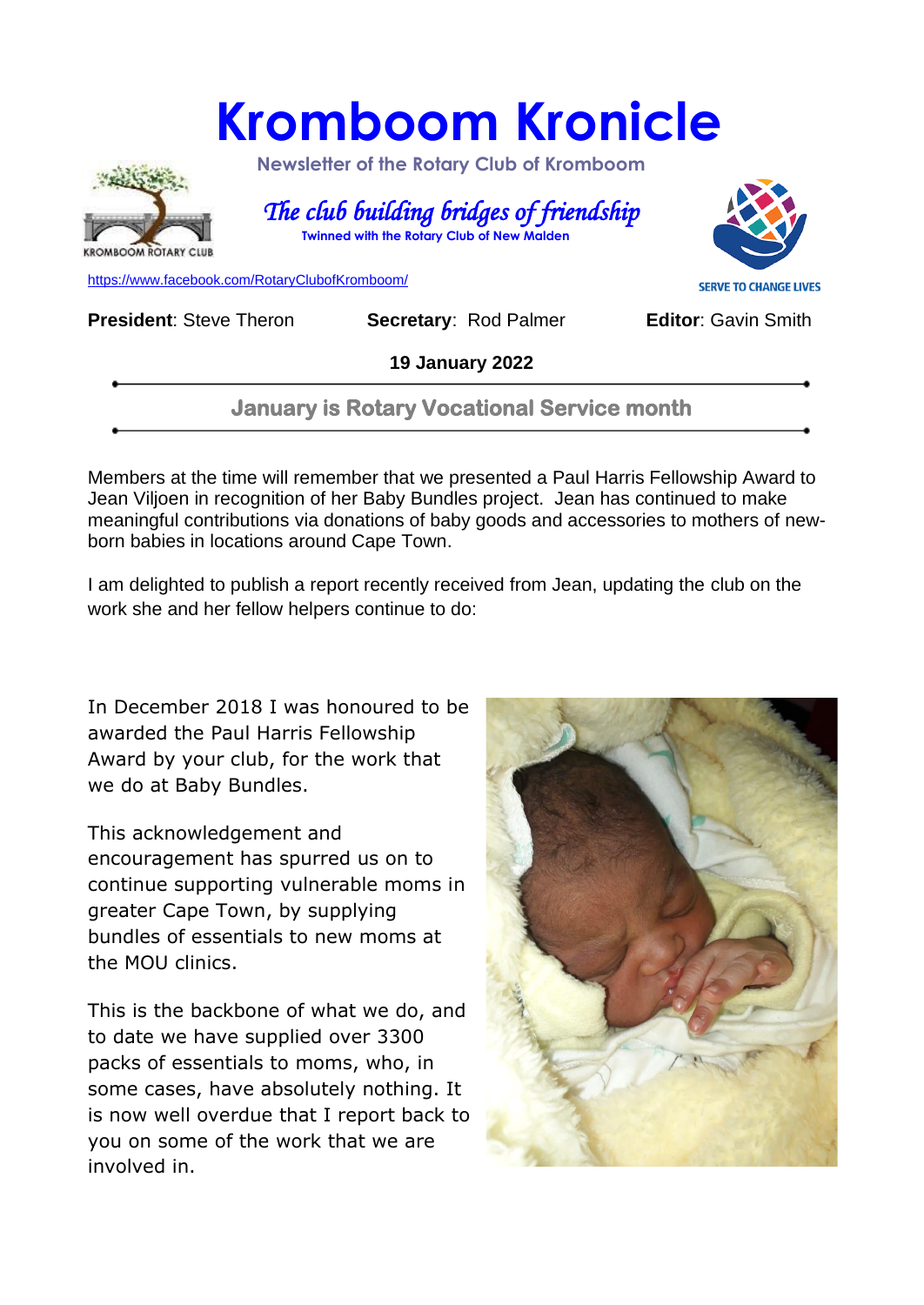## **Kromboom Kronicle**



 **Newsletter of the Rotary Club of Kromboom** 

 *The club building bridges of friendship*   **Twinned with the Rotary Club of New Malden**



[https://www.facebook.com/RotaryClubofKromboom/](https://emea01.safelinks.protection.outlook.com/?url=https%3A%2F%2Fwww.facebook.com%2FRotaryClubofKromboom%2F&data=04%7C01%7C%7Cd5cbab1d20df4229753808d958aed8b7%7C84df9e7fe9f640afb435aaaaaaaaaaaa%7C1%7C0%7C637638330257198543%7CUnknown%7CTWFpbGZsb3d8eyJWIjoiMC4wLjAwMDAiLCJQIjoiV2luMzIiLCJBTiI6Ik1haWwiLCJXVCI6Mn0%3D%7C1000&sdata=mDIKThBFOsjFFCPfaDaIk4CAPMCijMbG5OU6PW4Loes%3D&reserved=0)

**President:** Steve Theron **Secretary: Rod Palmer <b>Editor**: Gavin Smith

**19 January 2022**

**January is Rotary Vocational Service month** 

Members at the time will remember that we presented a Paul Harris Fellowship Award to Jean Viljoen in recognition of her Baby Bundles project. Jean has continued to make meaningful contributions via donations of baby goods and accessories to mothers of newborn babies in locations around Cape Town.

I am delighted to publish a report recently received from Jean, updating the club on the work she and her fellow helpers continue to do:

In December 2018 I was honoured to be awarded the Paul Harris Fellowship Award by your club, for the work that we do at Baby Bundles.

This acknowledgement and encouragement has spurred us on to continue supporting vulnerable moms in greater Cape Town, by supplying bundles of essentials to new moms at the MOU clinics.

This is the backbone of what we do, and to date we have supplied over 3300 packs of essentials to moms, who, in some cases, have absolutely nothing. It is now well overdue that I report back to you on some of the work that we are involved in.

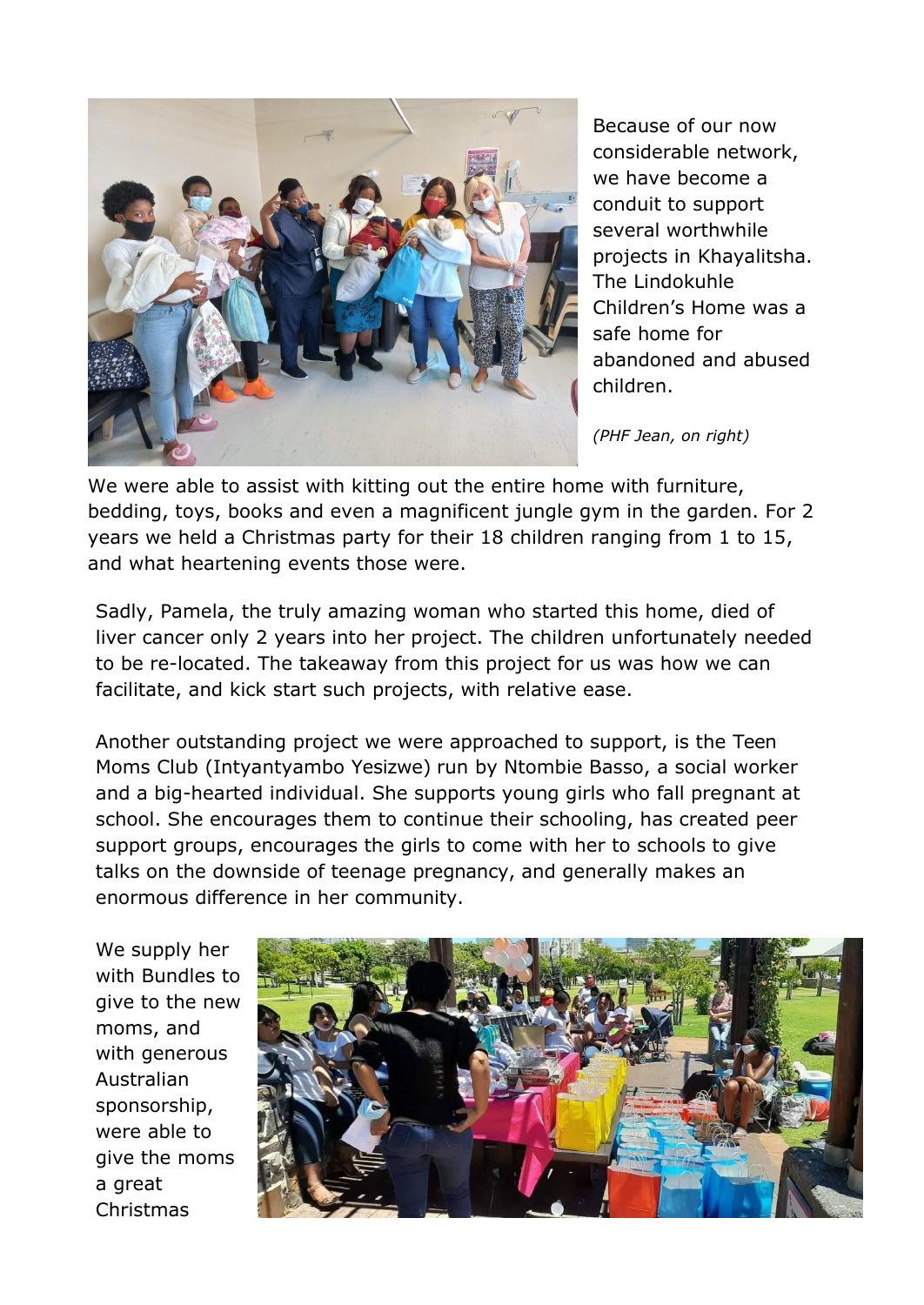

Because of our now considerable network, we have become a conduit to support several worthwhile projects in Khayalitsha. The Lindokuhle Children's Home was a safe home for abandoned and abused children.

*(PHF Jean, on right)*

We were able to assist with kitting out the entire home with furniture, bedding, toys, books and even a magnificent jungle gym in the garden. For 2 years we held a Christmas party for their 18 children ranging from 1 to 15, and what heartening events those were.

Sadly, Pamela, the truly amazing woman who started this home, died of liver cancer only 2 years into her project. The children unfortunately needed to be re-located. The takeaway from this project for us was how we can facilitate, and kick start such projects, with relative ease.

Another outstanding project we were approached to support, is the Teen Moms Club (Intyantyambo Yesizwe) run by Ntombie Basso, a social worker and a big-hearted individual. She supports young girls who fall pregnant at school. She encourages them to continue their schooling, has created peer support groups, encourages the girls to come with her to schools to give talks on the downside of teenage pregnancy, and generally makes an enormous difference in her community.

We supply her with Bundles to give to the new moms, and with generous Australian sponsorship, were able to give the moms a great Christmas

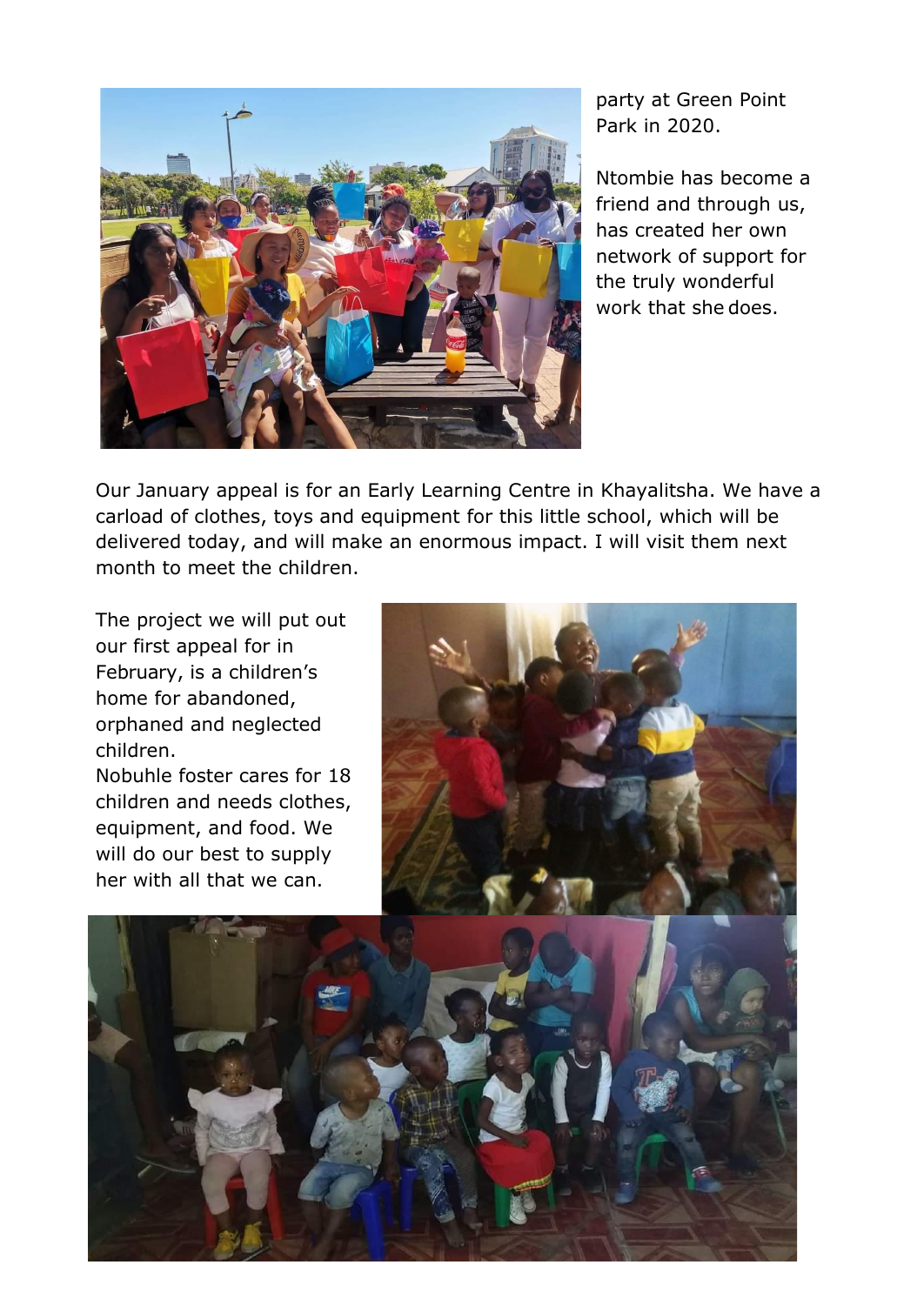

party at Green Point Park in 2020.

Ntombie has become a friend and through us, has created her own network of support for the truly wonderful work that she does.

Our January appeal is for an Early Learning Centre in Khayalitsha. We have a carload of clothes, toys and equipment for this little school, which will be delivered today, and will make an enormous impact. I will visit them next month to meet the children.

The project we will put out our first appeal for in February, is a children's home for abandoned, orphaned and neglected children.

Nobuhle foster cares for 18 children and needs clothes, equipment, and food. We will do our best to supply her with all that we can.



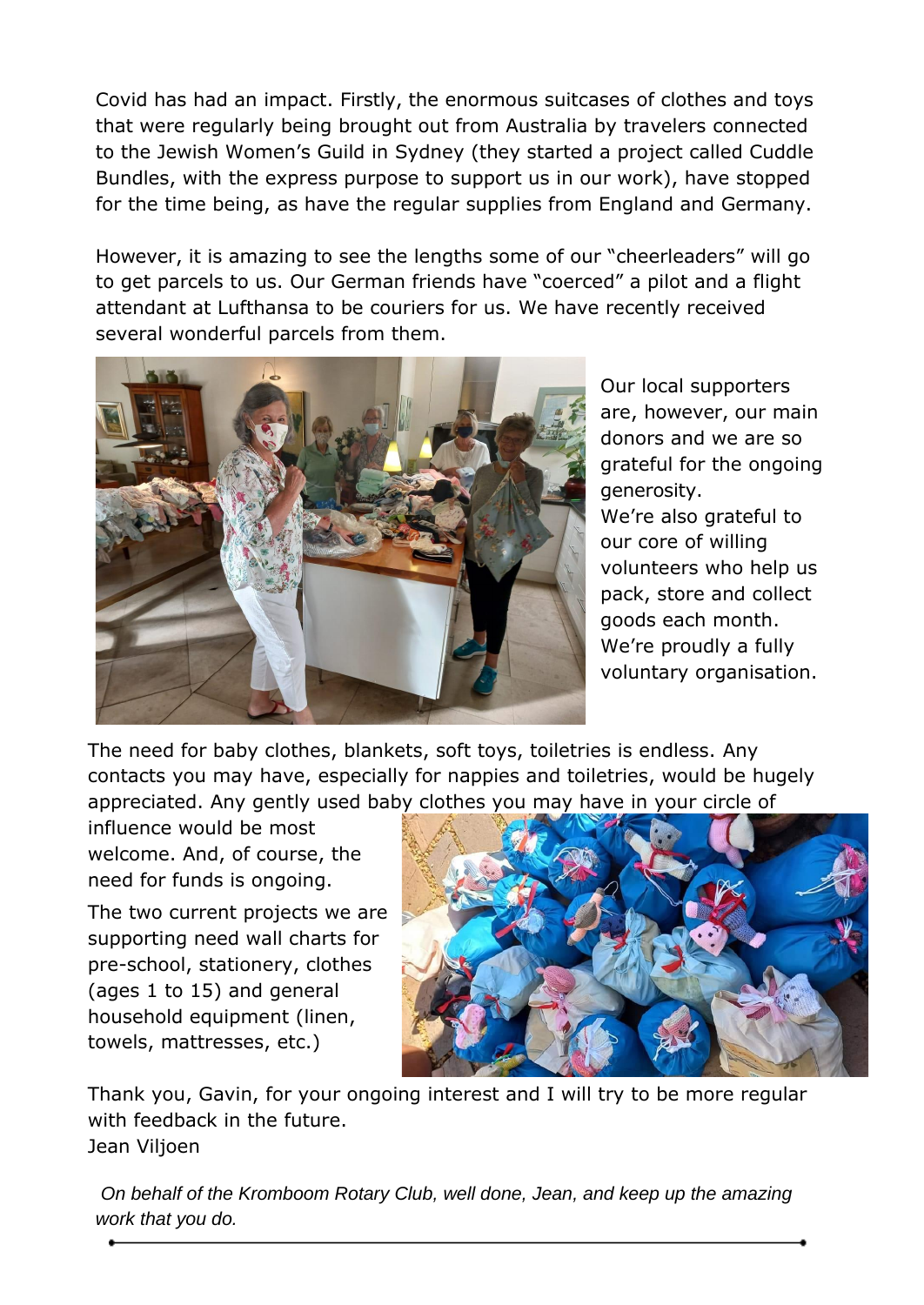Covid has had an impact. Firstly, the enormous suitcases of clothes and toys that were regularly being brought out from Australia by travelers connected to the Jewish Women's Guild in Sydney (they started a project called Cuddle Bundles, with the express purpose to support us in our work), have stopped for the time being, as have the regular supplies from England and Germany.

However, it is amazing to see the lengths some of our "cheerleaders" will go to get parcels to us. Our German friends have "coerced" a pilot and a flight attendant at Lufthansa to be couriers for us. We have recently received several wonderful parcels from them.



Our local supporters are, however, our main donors and we are so grateful for the ongoing generosity. We're also grateful to our core of willing volunteers who help us pack, store and collect goods each month. We're proudly a fully voluntary organisation.

The need for baby clothes, blankets, soft toys, toiletries is endless. Any contacts you may have, especially for nappies and toiletries, would be hugely appreciated. Any gently used baby clothes you may have in your circle of

influence would be most welcome. And, of course, the need for funds is ongoing.

The two current projects we are supporting need wall charts for pre-school, stationery, clothes (ages 1 to 15) and general household equipment (linen, towels, mattresses, etc.)



Thank you, Gavin, for your ongoing interest and I will try to be more regular with feedback in the future. Jean Viljoen

*On behalf of the Kromboom Rotary Club, well done, Jean, and keep up the amazing work that you do.*